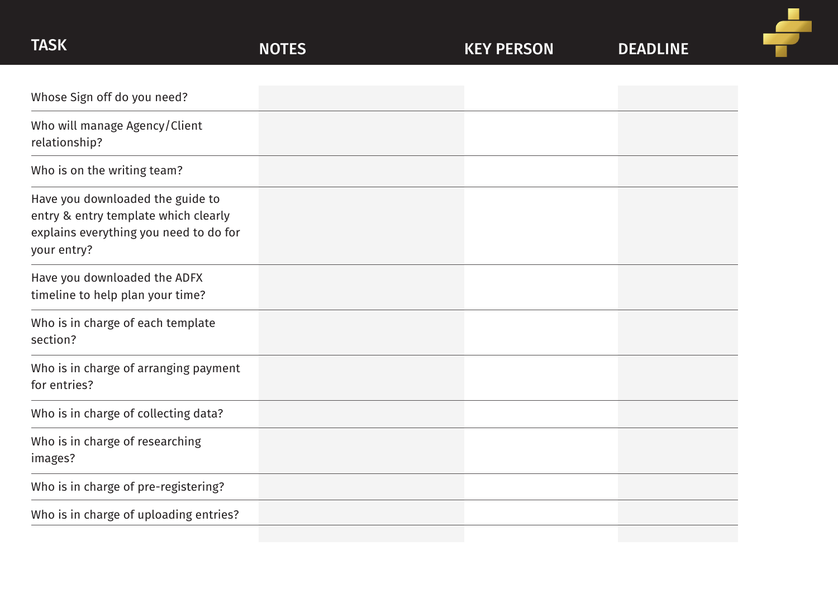| <b>TASK</b>                                                                                                                       | <b>NOTES</b> | <b>KEY PERSON</b> | <b>DEADLINE</b> |
|-----------------------------------------------------------------------------------------------------------------------------------|--------------|-------------------|-----------------|
|                                                                                                                                   |              |                   |                 |
| Whose Sign off do you need?                                                                                                       |              |                   |                 |
| Who will manage Agency/Client<br>relationship?                                                                                    |              |                   |                 |
| Who is on the writing team?                                                                                                       |              |                   |                 |
| Have you downloaded the guide to<br>entry & entry template which clearly<br>explains everything you need to do for<br>your entry? |              |                   |                 |
| Have you downloaded the ADFX<br>timeline to help plan your time?                                                                  |              |                   |                 |
| Who is in charge of each template<br>section?                                                                                     |              |                   |                 |
| Who is in charge of arranging payment<br>for entries?                                                                             |              |                   |                 |
| Who is in charge of collecting data?                                                                                              |              |                   |                 |
| Who is in charge of researching<br>images?                                                                                        |              |                   |                 |
| Who is in charge of pre-registering?                                                                                              |              |                   |                 |
| Who is in charge of uploading entries?                                                                                            |              |                   |                 |

÷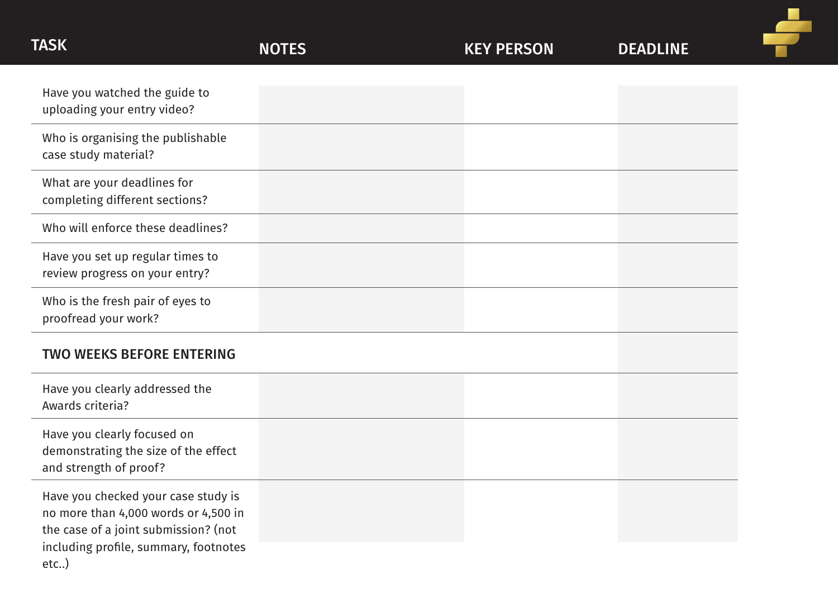| <b>TASK</b>                                                                                                                                                              | <b>NOTES</b> | <b>KEY PERSON</b> | <b>DEADLINE</b> |  |
|--------------------------------------------------------------------------------------------------------------------------------------------------------------------------|--------------|-------------------|-----------------|--|
| Have you watched the guide to<br>uploading your entry video?                                                                                                             |              |                   |                 |  |
| Who is organising the publishable<br>case study material?                                                                                                                |              |                   |                 |  |
| What are your deadlines for<br>completing different sections?                                                                                                            |              |                   |                 |  |
| Who will enforce these deadlines?                                                                                                                                        |              |                   |                 |  |
| Have you set up regular times to<br>review progress on your entry?                                                                                                       |              |                   |                 |  |
| Who is the fresh pair of eyes to<br>proofread your work?                                                                                                                 |              |                   |                 |  |
| <b>TWO WEEKS BEFORE ENTERING</b>                                                                                                                                         |              |                   |                 |  |
| Have you clearly addressed the<br>Awards criteria?                                                                                                                       |              |                   |                 |  |
| Have you clearly focused on<br>demonstrating the size of the effect<br>and strength of proof?                                                                            |              |                   |                 |  |
| Have you checked your case study is<br>no more than 4,000 words or 4,500 in<br>the case of a joint submission? (not<br>including profile, summary, footnotes<br>$etc.$ ) |              |                   |                 |  |